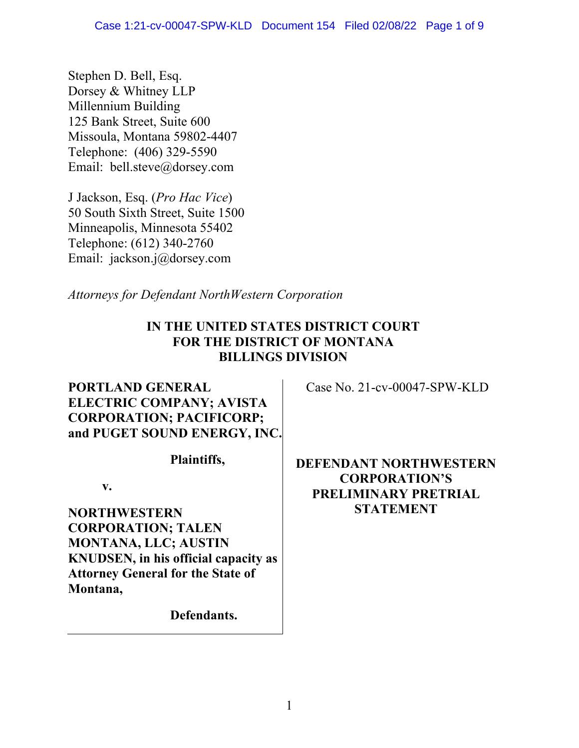Stephen D. Bell, Esq. Dorsey & Whitney LLP Millennium Building 125 Bank Street, Suite 600 Missoula, Montana 59802-4407 Telephone: (406) 329-5590 Email: bell.steve@dorsey.com

J Jackson, Esq. (*Pro Hac Vice*) 50 South Sixth Street, Suite 1500 Minneapolis, Minnesota 55402 Telephone: (612) 340-2760 Email: jackson.j@dorsey.com

*Attorneys for Defendant NorthWestern Corporation* 

## **IN THE UNITED STATES DISTRICT COURT FOR THE DISTRICT OF MONTANA BILLINGS DIVISION**

## **PORTLAND GENERAL ELECTRIC COMPANY; AVISTA CORPORATION; PACIFICORP; and PUGET SOUND ENERGY, INC.**

**Plaintiffs,** 

**v.** 

**NORTHWESTERN CORPORATION; TALEN MONTANA, LLC; AUSTIN KNUDSEN, in his official capacity as Attorney General for the State of Montana,** 

**Defendants.**

Case No. 21-cv-00047-SPW-KLD

**DEFENDANT NORTHWESTERN CORPORATION'S PRELIMINARY PRETRIAL STATEMENT**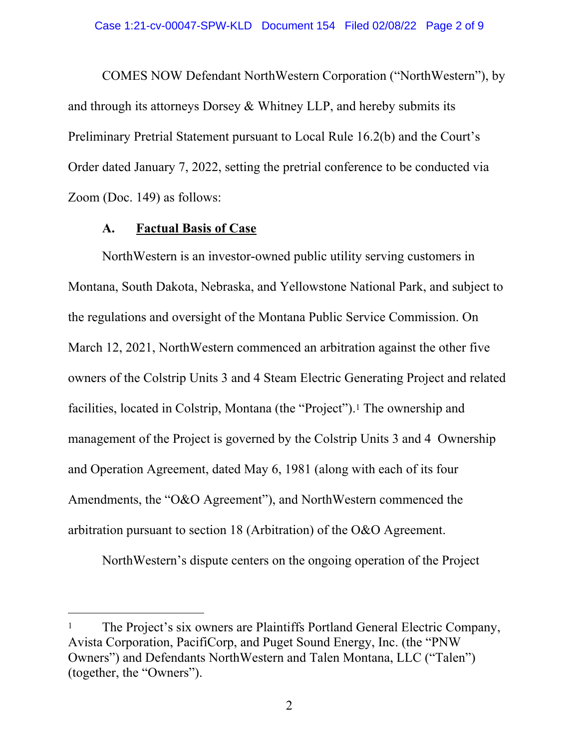COMES NOW Defendant NorthWestern Corporation ("NorthWestern"), by and through its attorneys Dorsey & Whitney LLP, and hereby submits its Preliminary Pretrial Statement pursuant to Local Rule 16.2(b) and the Court's Order dated January 7, 2022, setting the pretrial conference to be conducted via Zoom (Doc. 149) as follows:

#### **A. Factual Basis of Case**

 $\overline{a}$ 

NorthWestern is an investor-owned public utility serving customers in Montana, South Dakota, Nebraska, and Yellowstone National Park, and subject to the regulations and oversight of the Montana Public Service Commission. On March 12, 2021, NorthWestern commenced an arbitration against the other five owners of the Colstrip Units 3 and 4 Steam Electric Generating Project and related facilities, located in Colstrip, Montana (the "Project").1 The ownership and management of the Project is governed by the Colstrip Units 3 and 4 Ownership and Operation Agreement, dated May 6, 1981 (along with each of its four Amendments, the "O&O Agreement"), and NorthWestern commenced the arbitration pursuant to section 18 (Arbitration) of the O&O Agreement.

NorthWestern's dispute centers on the ongoing operation of the Project

<sup>&</sup>lt;sup>1</sup> The Project's six owners are Plaintiffs Portland General Electric Company, Avista Corporation, PacifiCorp, and Puget Sound Energy, Inc. (the "PNW Owners") and Defendants NorthWestern and Talen Montana, LLC ("Talen") (together, the "Owners").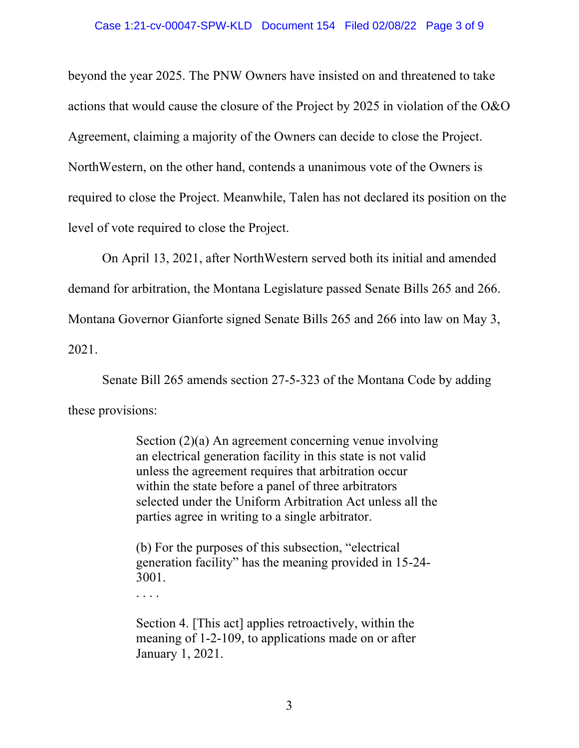beyond the year 2025. The PNW Owners have insisted on and threatened to take actions that would cause the closure of the Project by 2025 in violation of the O&O Agreement, claiming a majority of the Owners can decide to close the Project. NorthWestern, on the other hand, contends a unanimous vote of the Owners is required to close the Project. Meanwhile, Talen has not declared its position on the level of vote required to close the Project.

On April 13, 2021, after NorthWestern served both its initial and amended demand for arbitration, the Montana Legislature passed Senate Bills 265 and 266. Montana Governor Gianforte signed Senate Bills 265 and 266 into law on May 3, 2021.

Senate Bill 265 amends section 27-5-323 of the Montana Code by adding these provisions:

> Section (2)(a) An agreement concerning venue involving an electrical generation facility in this state is not valid unless the agreement requires that arbitration occur within the state before a panel of three arbitrators selected under the Uniform Arbitration Act unless all the parties agree in writing to a single arbitrator.

(b) For the purposes of this subsection, "electrical generation facility" has the meaning provided in 15-24- 3001.

. . . .

Section 4. [This act] applies retroactively, within the meaning of 1-2-109, to applications made on or after January 1, 2021.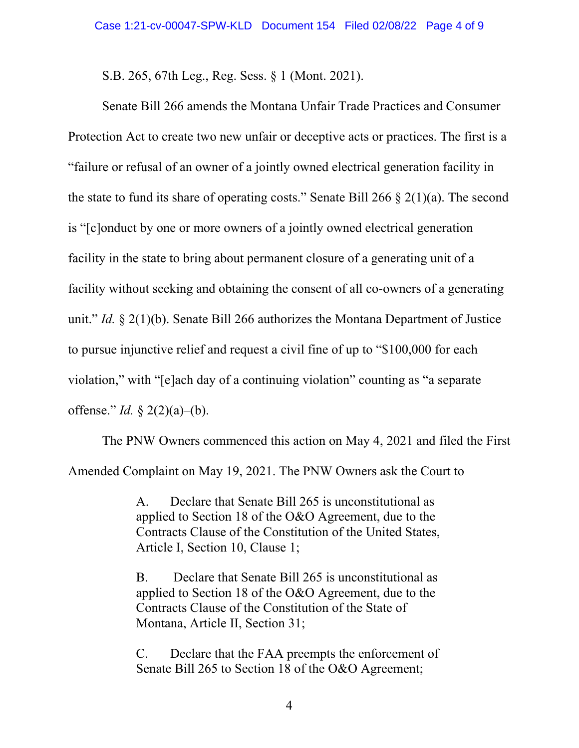S.B. 265, 67th Leg., Reg. Sess. § 1 (Mont. 2021).

Senate Bill 266 amends the Montana Unfair Trade Practices and Consumer Protection Act to create two new unfair or deceptive acts or practices. The first is a "failure or refusal of an owner of a jointly owned electrical generation facility in the state to fund its share of operating costs." Senate Bill 266  $\S$  2(1)(a). The second is "[c]onduct by one or more owners of a jointly owned electrical generation facility in the state to bring about permanent closure of a generating unit of a facility without seeking and obtaining the consent of all co-owners of a generating unit." *Id.* § 2(1)(b). Senate Bill 266 authorizes the Montana Department of Justice to pursue injunctive relief and request a civil fine of up to "\$100,000 for each violation," with "[e]ach day of a continuing violation" counting as "a separate offense." *Id.* § 2(2)(a)–(b).

The PNW Owners commenced this action on May 4, 2021 and filed the First Amended Complaint on May 19, 2021. The PNW Owners ask the Court to

> A. Declare that Senate Bill 265 is unconstitutional as applied to Section 18 of the O&O Agreement, due to the Contracts Clause of the Constitution of the United States, Article I, Section 10, Clause 1;

> B. Declare that Senate Bill 265 is unconstitutional as applied to Section 18 of the O&O Agreement, due to the Contracts Clause of the Constitution of the State of Montana, Article II, Section 31;

> C. Declare that the FAA preempts the enforcement of Senate Bill 265 to Section 18 of the O&O Agreement;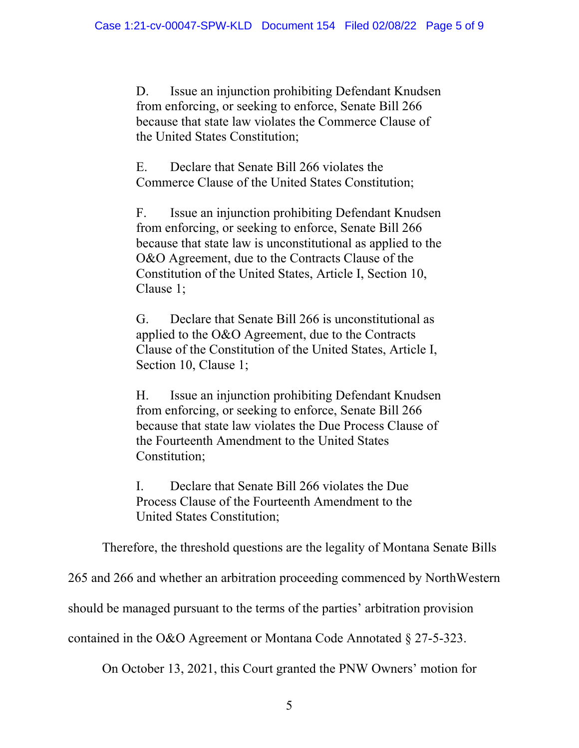D. Issue an injunction prohibiting Defendant Knudsen from enforcing, or seeking to enforce, Senate Bill 266 because that state law violates the Commerce Clause of the United States Constitution;

E. Declare that Senate Bill 266 violates the Commerce Clause of the United States Constitution;

F. Issue an injunction prohibiting Defendant Knudsen from enforcing, or seeking to enforce, Senate Bill 266 because that state law is unconstitutional as applied to the O&O Agreement, due to the Contracts Clause of the Constitution of the United States, Article I, Section 10, Clause 1;

G. Declare that Senate Bill 266 is unconstitutional as applied to the O&O Agreement, due to the Contracts Clause of the Constitution of the United States, Article I, Section 10, Clause 1;

H. Issue an injunction prohibiting Defendant Knudsen from enforcing, or seeking to enforce, Senate Bill 266 because that state law violates the Due Process Clause of the Fourteenth Amendment to the United States Constitution;

I. Declare that Senate Bill 266 violates the Due Process Clause of the Fourteenth Amendment to the United States Constitution;

Therefore, the threshold questions are the legality of Montana Senate Bills

265 and 266 and whether an arbitration proceeding commenced by NorthWestern

should be managed pursuant to the terms of the parties' arbitration provision

contained in the O&O Agreement or Montana Code Annotated § 27-5-323.

On October 13, 2021, this Court granted the PNW Owners' motion for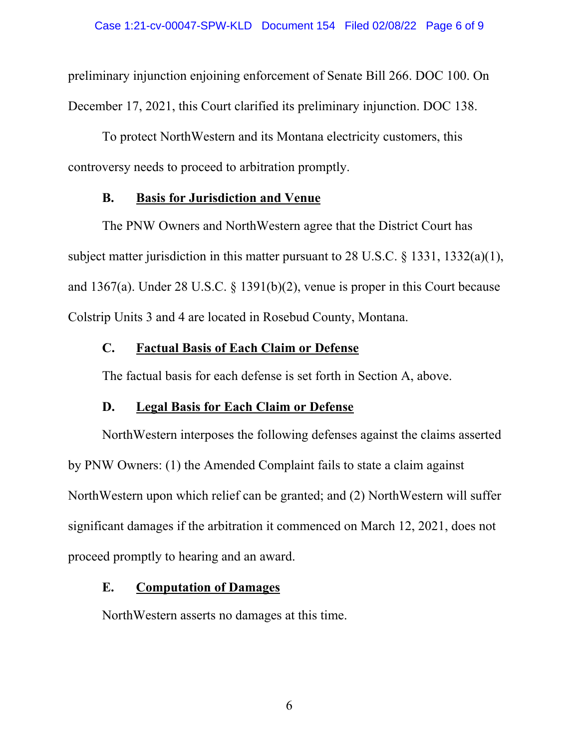preliminary injunction enjoining enforcement of Senate Bill 266. DOC 100. On December 17, 2021, this Court clarified its preliminary injunction. DOC 138.

To protect NorthWestern and its Montana electricity customers, this controversy needs to proceed to arbitration promptly.

### **B. Basis for Jurisdiction and Venue**

The PNW Owners and NorthWestern agree that the District Court has subject matter jurisdiction in this matter pursuant to 28 U.S.C. § 1331, 1332(a)(1), and 1367(a). Under 28 U.S.C. § 1391(b)(2), venue is proper in this Court because Colstrip Units 3 and 4 are located in Rosebud County, Montana.

### **C. Factual Basis of Each Claim or Defense**

The factual basis for each defense is set forth in Section A, above.

## **D. Legal Basis for Each Claim or Defense**

NorthWestern interposes the following defenses against the claims asserted by PNW Owners: (1) the Amended Complaint fails to state a claim against NorthWestern upon which relief can be granted; and (2) NorthWestern will suffer significant damages if the arbitration it commenced on March 12, 2021, does not proceed promptly to hearing and an award.

## **E. Computation of Damages**

NorthWestern asserts no damages at this time.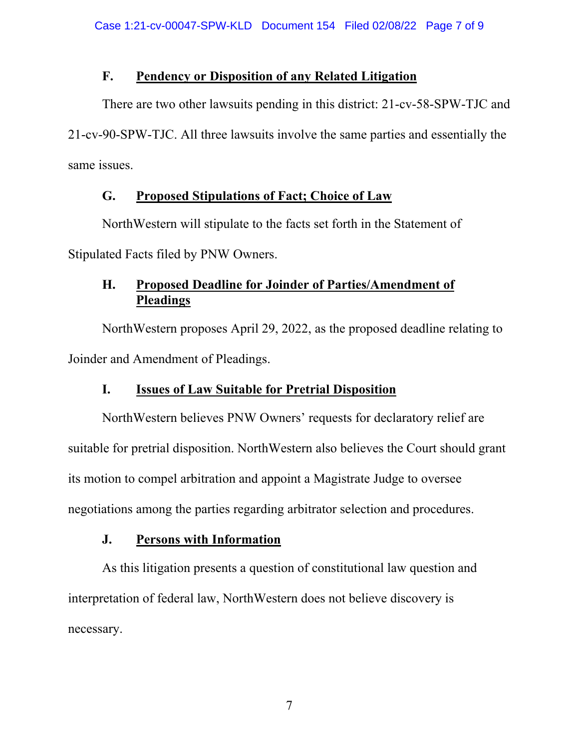## **F. Pendency or Disposition of any Related Litigation**

There are two other lawsuits pending in this district: 21-cv-58-SPW-TJC and 21-cv-90-SPW-TJC. All three lawsuits involve the same parties and essentially the same issues.

## **G. Proposed Stipulations of Fact; Choice of Law**

NorthWestern will stipulate to the facts set forth in the Statement of

Stipulated Facts filed by PNW Owners.

# **H. Proposed Deadline for Joinder of Parties/Amendment of Pleadings**

NorthWestern proposes April 29, 2022, as the proposed deadline relating to Joinder and Amendment of Pleadings.

# **I. Issues of Law Suitable for Pretrial Disposition**

NorthWestern believes PNW Owners' requests for declaratory relief are suitable for pretrial disposition. NorthWestern also believes the Court should grant its motion to compel arbitration and appoint a Magistrate Judge to oversee negotiations among the parties regarding arbitrator selection and procedures.

# **J. Persons with Information**

As this litigation presents a question of constitutional law question and interpretation of federal law, NorthWestern does not believe discovery is necessary.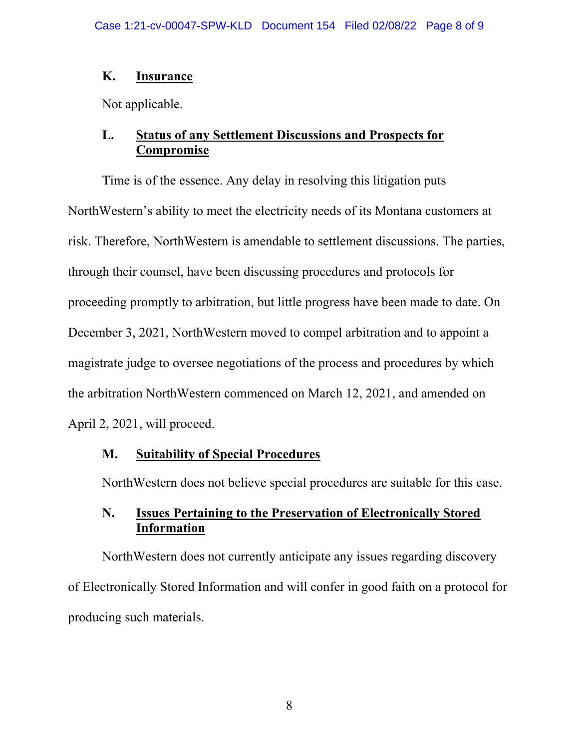### **K. Insurance**

Not applicable.

## **L. Status of any Settlement Discussions and Prospects for Compromise**

Time is of the essence. Any delay in resolving this litigation puts NorthWestern's ability to meet the electricity needs of its Montana customers at risk. Therefore, NorthWestern is amendable to settlement discussions. The parties, through their counsel, have been discussing procedures and protocols for proceeding promptly to arbitration, but little progress have been made to date. On December 3, 2021, NorthWestern moved to compel arbitration and to appoint a magistrate judge to oversee negotiations of the process and procedures by which the arbitration NorthWestern commenced on March 12, 2021, and amended on April 2, 2021, will proceed.

### **M. Suitability of Special Procedures**

NorthWestern does not believe special procedures are suitable for this case.

## **N. Issues Pertaining to the Preservation of Electronically Stored Information**

NorthWestern does not currently anticipate any issues regarding discovery of Electronically Stored Information and will confer in good faith on a protocol for producing such materials.